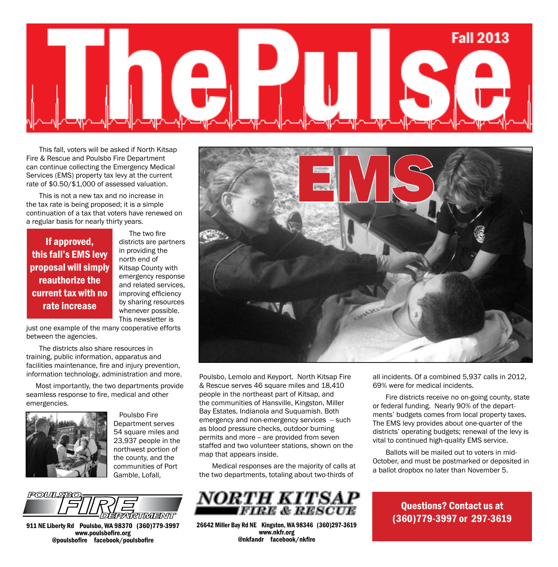

This fall, voters will be asked if North Kitsap Fire & Rescue and Poulsbo Fire Department can continue collecting the Emergency Medical Services (EMS) property tax levy at the current rate of \$0.50/\$1,000 of assessed valuation.

This is not a new tax and no increase in the tax rate is being proposed; it is a simple continuation of a tax that voters have renewed on a regular basis for nearly thirty years.

### If approved, this fall's EMS levy proposal will simply reauthorize the current tax with no rate increase

 The two fire districts are partners in providing the north end of Kitsap County with emergency response and related services, improving efficiency by sharing resources whenever possible. This newsletter is

just one example of the many cooperative efforts between the agencies.

The districts also share resources in training, public information, apparatus and facilities maintenance, fire and injury prevention, information technology, administration and more.

 Most importantly, the two departments provide seamless response to fire, medical and other emergencies.



 Poulsbo Fire Department serves 54 square miles and 23,937 people in the northwest portion of the county, and the communities of Port Gamble, Lofall,



911 NE Liberty Rd Poulsbo, WA 98370 (360)779-3997 www.poulsbofire.org @poulsbofire facebook/poulsbofire



Poulsbo, Lemolo and Keyport. North Kitsap Fire & Rescue serves 46 square miles and 18,410 people in the northeast part of Kitsap, and the communities of Hansville, Kingston, Miller Bay Estates, Indianola and Suquamish. Both emergency and non-emergency services -- such as blood pressure checks, outdoor burning permits and more -- are provided from seven staffed and two volunteer stations, shown on the map that appears inside.

Medical responses are the majority of calls at the two departments, totaling about two-thirds of



26642 Miller Bay Rd NE Kingston, WA 98346 (360)297-3619 www.nkfr.org @nkfandr facebook/nkfire

all incidents. Of a combined 5,937 calls in 2012, 69% were for medical incidents.

Fire districts receive no on-going county, state or federal funding. Nearly 90% of the departments' budgets comes from local property taxes. The EMS levy provides about one-quarter of the districts' operating budgets; renewal of the levy is vital to continued high-quality EMS service.

Ballots will be mailed out to voters in mid-October, and must be postmarked or deposited in a ballot dropbox no later than November 5.

> Questions? Contact us at (360)779-3997 or 297-3619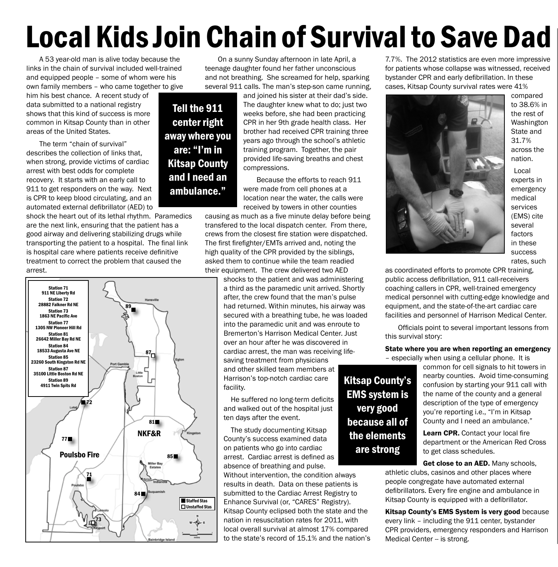# Local Kids Join Chain of Survival to Save Dad

A 53 year-old man is alive today because the links in the chain of survival included well-trained and equipped people – some of whom were his own family members – who came together to give

him his best chance. A recent study of data submitted to a national registry shows that this kind of success is more common in Kitsap County than in other areas of the United States.

The term "chain of survival" describes the collection of links that, when strong, provide victims of cardiac arrest with best odds for complete recovery. It starts with an early call to 911 to get responders on the way. Next is CPR to keep blood circulating, and an automated external defibrillator (AED) to

shock the heart out of its lethal rhythm. Paramedics are the next link, ensuring that the patient has a good airway and delivering stabilizing drugs while transporting the patient to a hospital. The final link is hospital care where patients receive definitive treatment to correct the problem that caused the arrest.



On a sunny Sunday afternoon in late April, a teenage daughter found her father unconscious and not breathing. She screamed for help, sparking several 911 calls. The man's step-son came running,

Tell the 911 center right away where you are: "I'm in Kitsap County and I need an ambulance."

and joined his sister at their dad's side. The daughter knew what to do; just two weeks before, she had been practicing CPR in her 9th grade health class. Her brother had received CPR training three years ago through the school's athletic training program. Together, the pair provided life-saving breaths and chest compressions.

Because the efforts to reach 911 were made from cell phones at a location near the water, the calls were received by towers in other counties

causing as much as a five minute delay before being transfered to the local dispatch center. From there, crews from the closest fire station were dispatched. The first firefighter/EMTs arrived and, noting the high quality of the CPR provided by the siblings, asked them to continue while the team readied their equipment. The crew delivered two AED

shocks to the patient and was administering a third as the paramedic unit arrived. Shortly after, the crew found that the man's pulse had returned. Within minutes, his airway was secured with a breathing tube, he was loaded into the paramedic unit and was enroute to Bremerton's Harrison Medical Center. Just over an hour after he was discovered in cardiac arrest, the man was receiving lifesaving treatment from physicians

and other skilled team members at Harrison's top-notch cardiac care facility.

 He suffered no long-term deficits and walked out of the hospital just ten days after the event.

The study documenting Kitsap County's success examined data on patients who go into cardiac arrest. Cardiac arrest is defined as absence of breathing and pulse.

Without intervention, the condition always results in death. Data on these patients is submitted to the Cardiac Arrest Registry to Enhance Survival (or, "CARES" Registry). Kitsap County eclipsed both the state and the nation in resuscitation rates for 2011, with local overall survival at almost 17% compared to the state's record of 15.1% and the nation's 7.7%. The 2012 statistics are even more impressive for patients whose collapse was witnessed, received bystander CPR and early defibrillation. In these cases, Kitsap County survival rates were 41%



compared to 38.6% in the rest of Washington State and 31.7% across the nation.

Local experts in emergency medical services (EMS) cite several factors in these success rates, such

as coordinated efforts to promote CPR training, public access defibrillation, 911 call-receivers coaching callers in CPR, well-trained emergency medical personnel with cutting-edge knowledge and equipment, and the state-of-the-art cardiac care facilities and personnel of Harrison Medical Center.

 Officials point to several important lessons from this survival story:

#### State where you are when reporting an emergency

– especially when using a cellular phone. It is

common for cell signals to hit towers in nearby counties. Avoid time-consuming confusion by starting your 911 call with the name of the county and a general description of the type of emergency you're reporting i.e., "I'm in Kitsap County and I need an ambulance."

Learn CPR. Contact your local fire department or the American Red Cross to get class schedules.

Get close to an AED. Many schools, athletic clubs, casinos and other places where people congregate have automated external defibrillators. Every fire engine and ambulance in Kitsap County is equipped with a defibrillator.

Kitsap County's EMS System is very good because every link – including the 911 center, bystander CPR providers, emergency responders and Harrison Medical Center -- is strong.

Kitsap County's EMS system is very good because all of the elements are strong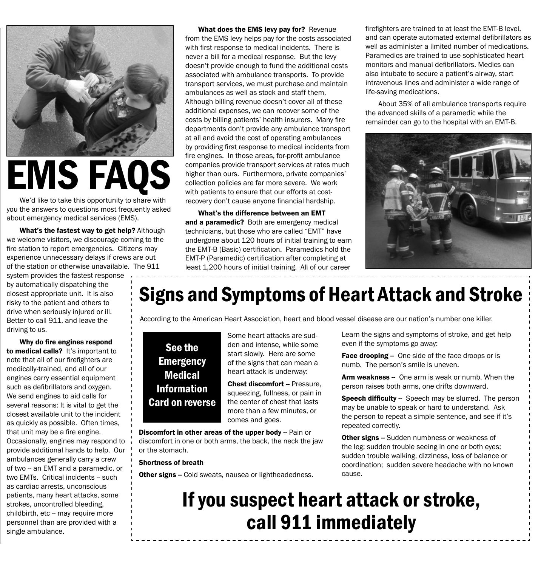

EMS FAQS

We'd like to take this opportunity to share with you the answers to questions most frequently asked about emergency medical services (EMS).

What's the fastest way to get help? Although we welcome visitors, we discourage coming to the fire station to report emergencies. Citizens may experience unnecessary delays if crews are out of the station or otherwise unavailable. The 911

system provides the fastest response by automatically dispatching the closest appropriate unit. It is also risky to the patient and others to drive when seriously injured or ill. Better to call 911, and leave the driving to us.

Why do fire engines respond to medical calls? It's important to note that all of our firefighters are medically-trained, and all of our engines carry essential equipment such as defibrillators and oxygen. We send engines to aid calls for several reasons: It is vital to get the closest available unit to the incident as quickly as possible. Often times, that unit may be a fire engine. Occasionally, engines may respond to provide additional hands to help. Our ambulances generally carry a crew of two -- an EMT and a paramedic, or two EMTs. Critical incidents -- such as cardiac arrests, unconscious patients, many heart attacks, some strokes, uncontrolled bleeding, childbirth, etc -- may require more personnel than are provided with a single ambulance.

What does the EMS levy pay for? Revenue from the EMS levy helps pay for the costs associated with first response to medical incidents. There is never a bill for a medical response. But the levy doesn't provide enough to fund the additional costs associated with ambulance transports. To provide transport services, we must purchase and maintain ambulances as well as stock and staff them. Although billing revenue doesn't cover all of these additional expenses, we can recover some of the costs by billing patients' health insurers. Many fire departments don't provide any ambulance transport at all and avoid the cost of operating ambulances by providing first response to medical incidents from fire engines. In those areas, for-profit ambulance companies provide transport services at rates much higher than ours. Furthermore, private companies' collection policies are far more severe. We work with patients to ensure that our efforts at costrecovery don't cause anyone financial hardship.

What's the difference between an EMT and a paramedic? Both are emergency medical technicians, but those who are called "EMT" have undergone about 120 hours of initial training to earn the EMT-B (Basic) certification. Paramedics hold the EMT-P (Paramedic) certification after completing at least 1,200 hours of initial training. All of our career

firefighters are trained to at least the EMT-B level, and can operate automated external defibrillators as well as administer a limited number of medications. Paramedics are trained to use sophisticated heart monitors and manual defibrillators. Medics can also intubate to secure a patient's airway, start intravenous lines and administer a wide range of life-saving medications.

About 35% of all ambulance transports require the advanced skills of a paramedic while the remainder can go to the hospital with an EMT-B.



## Signs and Symptoms of Heart Attack and Stroke

According to the American Heart Association, heart and blood vessel disease are our nation's number one killer.

### See the **Emergency** Medical Information Card on reverse

Some heart attacks are sudden and intense, while some start slowly. Here are some of the signs that can mean a heart attack is underway:

**Chest discomfort -- Pressure,** squeezing, fullness, or pain in the center of chest that lasts more than a few minutes, or comes and goes.

Discomfort in other areas of the upper body -- Pain or discomfort in one or both arms, the back, the neck the jaw or the stomach.

#### Shortness of breath

Other signs -- Cold sweats, nausea or lightheadedness.

Learn the signs and symptoms of stroke, and get help even if the symptoms go away:

Face drooping - One side of the face droops or is numb. The person's smile is uneven.

Arm weakness -- One arm is weak or numb. When the person raises both arms, one drifts downward.

**Speech difficulty --** Speech may be slurred. The person may be unable to speak or hard to understand. Ask the person to repeat a simple sentence, and see if it's repeated correctly.

**Other signs --** Sudden numbness or weakness of the leg; sudden trouble seeing in one or both eyes; sudden trouble walking, dizziness, loss of balance or coordination; sudden severe headache with no known cause.

## If you suspect heart attack or stroke, call 911 immediately